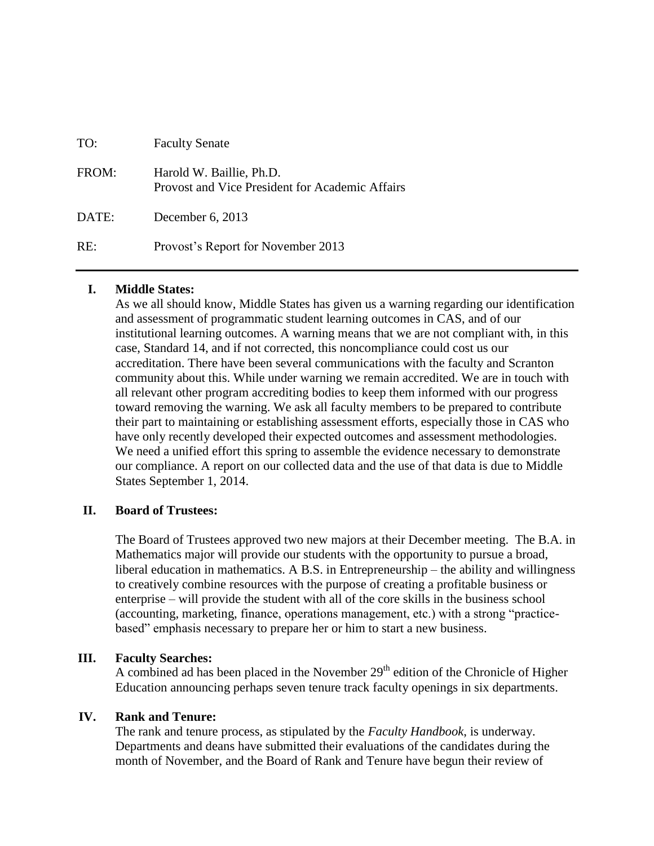| TO:   | <b>Faculty Senate</b>                                                       |
|-------|-----------------------------------------------------------------------------|
| FROM: | Harold W. Baillie, Ph.D.<br>Provost and Vice President for Academic Affairs |
| DATE: | December 6, 2013                                                            |
| RE:   | Provost's Report for November 2013                                          |

#### **I. Middle States:**

As we all should know, Middle States has given us a warning regarding our identification and assessment of programmatic student learning outcomes in CAS, and of our institutional learning outcomes. A warning means that we are not compliant with, in this case, Standard 14, and if not corrected, this noncompliance could cost us our accreditation. There have been several communications with the faculty and Scranton community about this. While under warning we remain accredited. We are in touch with all relevant other program accrediting bodies to keep them informed with our progress toward removing the warning. We ask all faculty members to be prepared to contribute their part to maintaining or establishing assessment efforts, especially those in CAS who have only recently developed their expected outcomes and assessment methodologies. We need a unified effort this spring to assemble the evidence necessary to demonstrate our compliance. A report on our collected data and the use of that data is due to Middle States September 1, 2014.

#### **II. Board of Trustees:**

The Board of Trustees approved two new majors at their December meeting. The B.A. in Mathematics major will provide our students with the opportunity to pursue a broad, liberal education in mathematics. A B.S. in Entrepreneurship – the ability and willingness to creatively combine resources with the purpose of creating a profitable business or enterprise – will provide the student with all of the core skills in the business school (accounting, marketing, finance, operations management, etc.) with a strong "practicebased" emphasis necessary to prepare her or him to start a new business.

# **III. Faculty Searches:**

A combined ad has been placed in the November  $29<sup>th</sup>$  edition of the Chronicle of Higher Education announcing perhaps seven tenure track faculty openings in six departments.

# **IV. Rank and Tenure:**

The rank and tenure process, as stipulated by the *Faculty Handbook*, is underway. Departments and deans have submitted their evaluations of the candidates during the month of November, and the Board of Rank and Tenure have begun their review of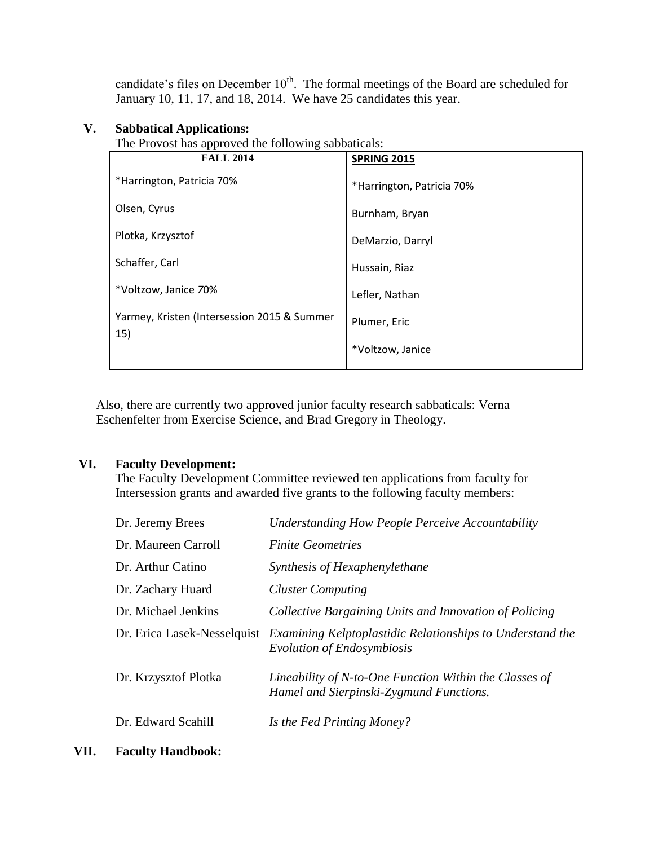candidate's files on December  $10<sup>th</sup>$ . The formal meetings of the Board are scheduled for January 10, 11, 17, and 18, 2014. We have 25 candidates this year.

# **V. Sabbatical Applications:**

The Provost has approved the following sabbaticals:

| <b>FALL 2014</b>                                   | <b>SPRING 2015</b>        |
|----------------------------------------------------|---------------------------|
| *Harrington, Patricia 70%                          | *Harrington, Patricia 70% |
| Olsen, Cyrus                                       | Burnham, Bryan            |
| Plotka, Krzysztof                                  | DeMarzio, Darryl          |
| Schaffer, Carl                                     | Hussain, Riaz             |
| *Voltzow, Janice 70%                               | Lefler, Nathan            |
| Yarmey, Kristen (Intersession 2015 & Summer<br>15) | Plumer, Eric              |
|                                                    | *Voltzow, Janice          |

Also, there are currently two approved junior faculty research sabbaticals: Verna Eschenfelter from Exercise Science, and Brad Gregory in Theology.

# **VI. Faculty Development:**

The Faculty Development Committee reviewed ten applications from faculty for Intersession grants and awarded five grants to the following faculty members:

| Dr. Jeremy Brees            | <b>Understanding How People Perceive Accountability</b>                                           |
|-----------------------------|---------------------------------------------------------------------------------------------------|
| Dr. Maureen Carroll         | <i>Finite Geometries</i>                                                                          |
| Dr. Arthur Catino           | Synthesis of Hexaphenylethane                                                                     |
| Dr. Zachary Huard           | <b>Cluster Computing</b>                                                                          |
| Dr. Michael Jenkins         | Collective Bargaining Units and Innovation of Policing                                            |
| Dr. Erica Lasek-Nesselquist | Examining Kelptoplastidic Relationships to Understand the<br>Evolution of Endosymbiosis           |
| Dr. Krzysztof Plotka        | Lineability of N-to-One Function Within the Classes of<br>Hamel and Sierpinski-Zygmund Functions. |
| Dr. Edward Scahill          | Is the Fed Printing Money?                                                                        |

**VII. Faculty Handbook:**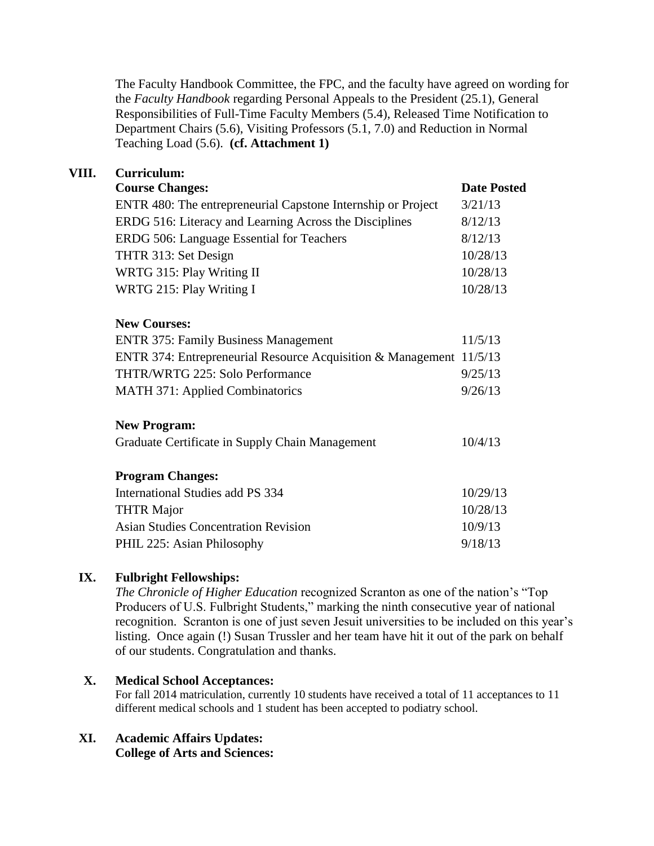The Faculty Handbook Committee, the FPC, and the faculty have agreed on wording for the *Faculty Handbook* regarding Personal Appeals to the President (25.1), General Responsibilities of Full-Time Faculty Members (5.4), Released Time Notification to Department Chairs (5.6), Visiting Professors (5.1, 7.0) and Reduction in Normal Teaching Load (5.6). **(cf. Attachment 1)**

# **VIII. Curriculum:**

| <b>Course Changes:</b>                                              | <b>Date Posted</b> |
|---------------------------------------------------------------------|--------------------|
| ENTR 480: The entrepreneurial Capstone Internship or Project        | 3/21/13            |
| ERDG 516: Literacy and Learning Across the Disciplines              | 8/12/13            |
| ERDG 506: Language Essential for Teachers                           | 8/12/13            |
| THTR 313: Set Design                                                | 10/28/13           |
| WRTG 315: Play Writing II                                           | 10/28/13           |
| WRTG 215: Play Writing I                                            | 10/28/13           |
| <b>New Courses:</b>                                                 |                    |
| <b>ENTR 375: Family Business Management</b>                         | 11/5/13            |
| ENTR 374: Entrepreneurial Resource Acquisition & Management 11/5/13 |                    |
| <b>THTR/WRTG 225: Solo Performance</b>                              | 9/25/13            |
| <b>MATH 371: Applied Combinatorics</b>                              | 9/26/13            |
| <b>New Program:</b>                                                 |                    |
| Graduate Certificate in Supply Chain Management                     | 10/4/13            |
| <b>Program Changes:</b>                                             |                    |
| International Studies add PS 334                                    | 10/29/13           |
| <b>THTR Major</b>                                                   | 10/28/13           |
| <b>Asian Studies Concentration Revision</b>                         | 10/9/13            |
| PHIL 225: Asian Philosophy                                          | 9/18/13            |

# **IX. Fulbright Fellowships:**

*The Chronicle of Higher Education* recognized Scranton as one of the nation's "Top Producers of U.S. Fulbright Students," marking the ninth consecutive year of national recognition. Scranton is one of just seven Jesuit universities to be included on this year's listing. Once again (!) Susan Trussler and her team have hit it out of the park on behalf of our students. Congratulation and thanks.

# **X. Medical School Acceptances:**

For fall 2014 matriculation, currently 10 students have received a total of 11 acceptances to 11 different medical schools and 1 student has been accepted to podiatry school.

# **XI. Academic Affairs Updates:**

**College of Arts and Sciences:**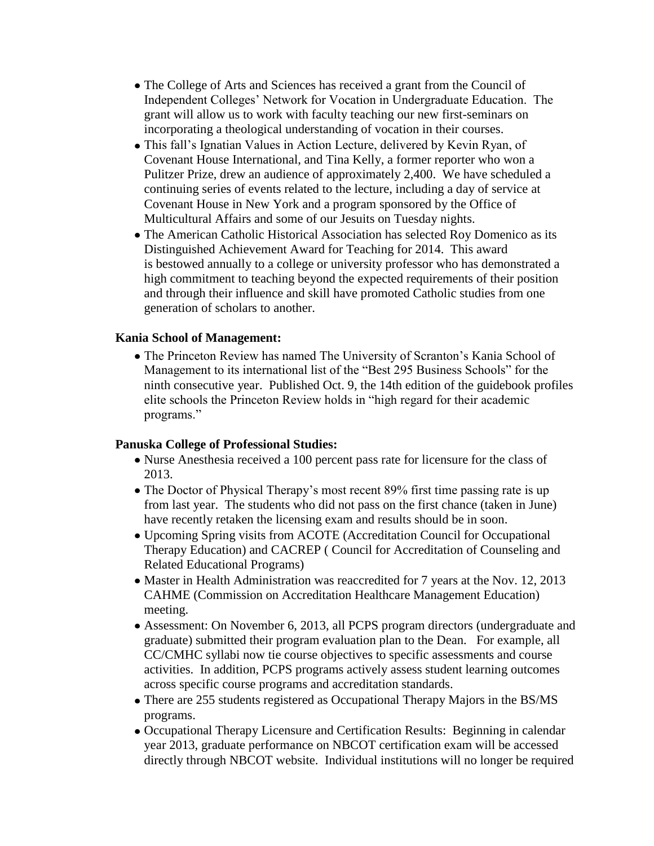- The College of Arts and Sciences has received a grant from the Council of Independent Colleges' Network for Vocation in Undergraduate Education. The grant will allow us to work with faculty teaching our new first-seminars on incorporating a theological understanding of vocation in their courses.
- This fall's Ignatian Values in Action Lecture, delivered by Kevin Ryan, of Covenant House International, and Tina Kelly, a former reporter who won a Pulitzer Prize, drew an audience of approximately 2,400. We have scheduled a continuing series of events related to the lecture, including a day of service at Covenant House in New York and a program sponsored by the Office of Multicultural Affairs and some of our Jesuits on Tuesday nights.
- The American Catholic Historical Association has selected Roy Domenico as its Distinguished Achievement Award for Teaching for 2014. This award is bestowed annually to a college or university professor who has demonstrated a high commitment to teaching beyond the expected requirements of their position and through their influence and skill have promoted Catholic studies from one generation of scholars to another.

#### **Kania School of Management:**

• The Princeton Review has named The University of Scranton's Kania School of Management to its international list of the "Best 295 Business Schools" for the ninth consecutive year. Published Oct. 9, the 14th edition of the guidebook profiles elite schools the Princeton Review holds in "high regard for their academic programs."

#### **Panuska College of Professional Studies:**

- Nurse Anesthesia received a 100 percent pass rate for licensure for the class of 2013.
- The Doctor of Physical Therapy's most recent 89% first time passing rate is up from last year. The students who did not pass on the first chance (taken in June) have recently retaken the licensing exam and results should be in soon.
- Upcoming Spring visits from ACOTE (Accreditation Council for Occupational Therapy Education) and CACREP ( Council for Accreditation of Counseling and Related Educational Programs)
- Master in Health Administration was reaccredited for 7 years at the Nov. 12, 2013 CAHME (Commission on Accreditation Healthcare Management Education) meeting.
- Assessment: On November 6, 2013, all PCPS program directors (undergraduate and graduate) submitted their program evaluation plan to the Dean. For example, all CC/CMHC syllabi now tie course objectives to specific assessments and course activities. In addition, PCPS programs actively assess student learning outcomes across specific course programs and accreditation standards.
- There are 255 students registered as Occupational Therapy Majors in the BS/MS programs.
- Occupational Therapy Licensure and Certification Results: Beginning in calendar year 2013, graduate performance on NBCOT certification exam will be accessed directly through NBCOT website. Individual institutions will no longer be required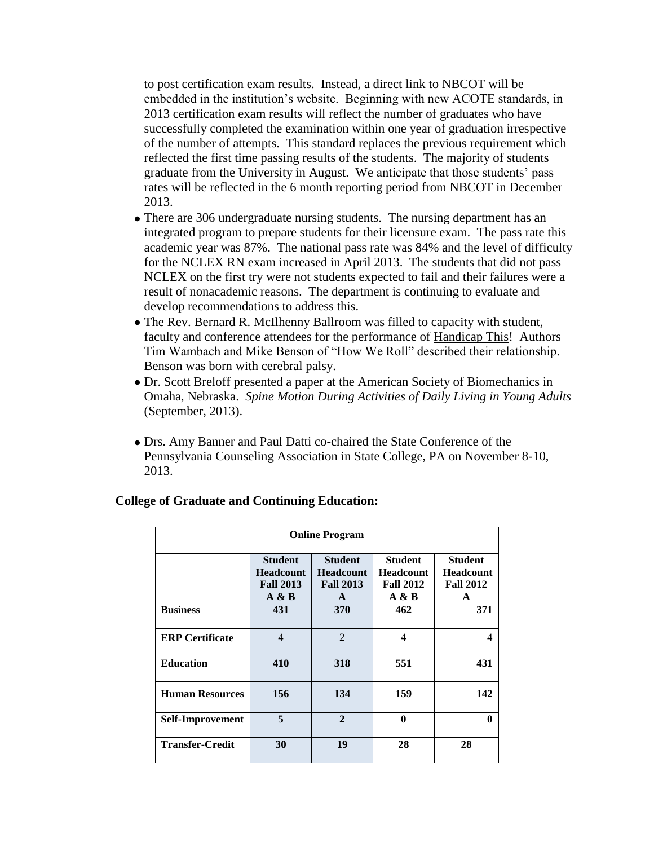to post certification exam results. Instead, a direct link to NBCOT will be embedded in the institution's website. Beginning with new ACOTE standards, in 2013 certification exam results will reflect the number of graduates who have successfully completed the examination within one year of graduation irrespective of the number of attempts. This standard replaces the previous requirement which reflected the first time passing results of the students. The majority of students graduate from the University in August. We anticipate that those students' pass rates will be reflected in the 6 month reporting period from NBCOT in December 2013.

- There are 306 undergraduate nursing students. The nursing department has an integrated program to prepare students for their licensure exam. The pass rate this academic year was 87%. The national pass rate was 84% and the level of difficulty for the NCLEX RN exam increased in April 2013. The students that did not pass NCLEX on the first try were not students expected to fail and their failures were a result of nonacademic reasons. The department is continuing to evaluate and develop recommendations to address this.
- The Rev. Bernard R. McIlhenny Ballroom was filled to capacity with student, faculty and conference attendees for the performance of Handicap This! Authors Tim Wambach and Mike Benson of "How We Roll" described their relationship. Benson was born with cerebral palsy.
- Dr. Scott Breloff presented a paper at the American Society of Biomechanics in Omaha, Nebraska. *Spine Motion During Activities of Daily Living in Young Adults* (September, 2013).
- Drs. Amy Banner and Paul Datti co-chaired the State Conference of the Pennsylvania Counseling Association in State College, PA on November 8-10, 2013.

| <b>Online Program</b>  |                                                                 |                                                                        |                                                                 |                                                             |  |  |
|------------------------|-----------------------------------------------------------------|------------------------------------------------------------------------|-----------------------------------------------------------------|-------------------------------------------------------------|--|--|
|                        | <b>Student</b><br><b>Headcount</b><br><b>Fall 2013</b><br>A & B | <b>Student</b><br><b>Headcount</b><br><b>Fall 2013</b><br>$\mathbf{A}$ | <b>Student</b><br><b>Headcount</b><br><b>Fall 2012</b><br>A & B | <b>Student</b><br><b>Headcount</b><br><b>Fall 2012</b><br>A |  |  |
| <b>Business</b>        | 431                                                             | <b>370</b>                                                             | 462                                                             | 371                                                         |  |  |
| <b>ERP</b> Certificate | $\overline{4}$                                                  | $\overline{2}$                                                         | 4                                                               | $\overline{4}$                                              |  |  |
| <b>Education</b>       | 410                                                             | 318                                                                    | 551                                                             | 431                                                         |  |  |
| <b>Human Resources</b> | 156                                                             | 134                                                                    | 159                                                             | 142                                                         |  |  |
| Self-Improvement       | 5                                                               | $\overline{2}$                                                         | $\mathbf{0}$                                                    | 0                                                           |  |  |
| <b>Transfer-Credit</b> | 30                                                              | 19                                                                     | 28                                                              | 28                                                          |  |  |

#### **College of Graduate and Continuing Education:**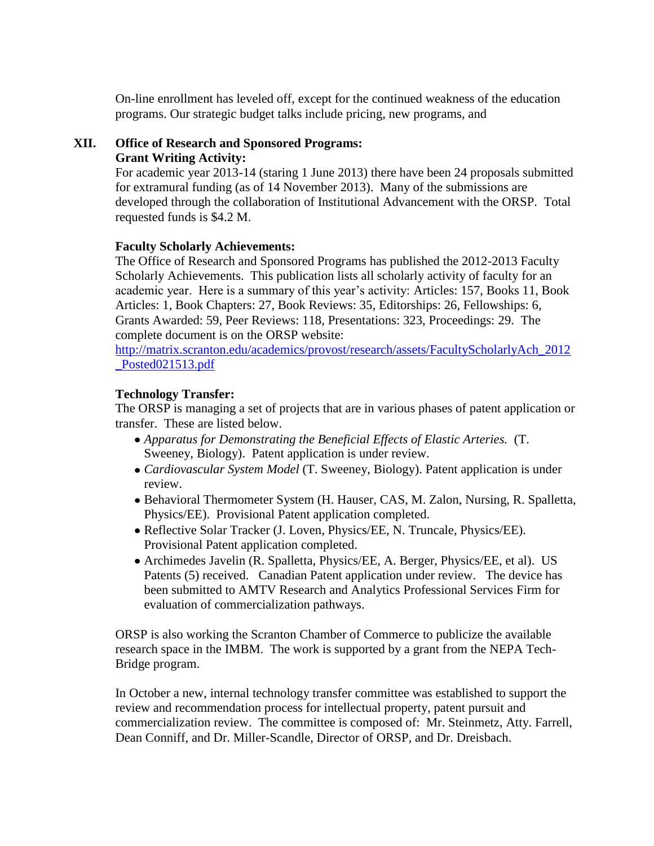On-line enrollment has leveled off, except for the continued weakness of the education programs. Our strategic budget talks include pricing, new programs, and

# **XII. Office of Research and Sponsored Programs:**

#### **Grant Writing Activity:**

For academic year 2013-14 (staring 1 June 2013) there have been 24 proposals submitted for extramural funding (as of 14 November 2013). Many of the submissions are developed through the collaboration of Institutional Advancement with the ORSP. Total requested funds is \$4.2 M.

# **Faculty Scholarly Achievements:**

The Office of Research and Sponsored Programs has published the 2012-2013 Faculty Scholarly Achievements. This publication lists all scholarly activity of faculty for an academic year. Here is a summary of this year's activity: Articles: 157, Books 11, Book Articles: 1, Book Chapters: 27, Book Reviews: 35, Editorships: 26, Fellowships: 6, Grants Awarded: 59, Peer Reviews: 118, Presentations: 323, Proceedings: 29. The complete document is on the ORSP website:

[http://matrix.scranton.edu/academics/provost/research/assets/FacultyScholarlyAch\\_2012](http://matrix.scranton.edu/academics/provost/research/assets/FacultyScholarlyAch_2012_Posted021513.pdf) [\\_Posted021513.pdf](http://matrix.scranton.edu/academics/provost/research/assets/FacultyScholarlyAch_2012_Posted021513.pdf)

# **Technology Transfer:**

The ORSP is managing a set of projects that are in various phases of patent application or transfer. These are listed below.

- *Apparatus for Demonstrating the Beneficial Effects of Elastic Arteries.* (T. Sweeney, Biology). Patent application is under review.
- *Cardiovascular System Model* (T. Sweeney, Biology). Patent application is under review.
- Behavioral Thermometer System (H. Hauser, CAS, M. Zalon, Nursing, R. Spalletta, Physics/EE). Provisional Patent application completed.
- Reflective Solar Tracker (J. Loven, Physics/EE, N. Truncale, Physics/EE). Provisional Patent application completed.
- Archimedes Javelin (R. Spalletta, Physics/EE, A. Berger, Physics/EE, et al). US Patents (5) received. Canadian Patent application under review. The device has been submitted to AMTV Research and Analytics Professional Services Firm for evaluation of commercialization pathways.

ORSP is also working the Scranton Chamber of Commerce to publicize the available research space in the IMBM. The work is supported by a grant from the NEPA Tech-Bridge program.

In October a new, internal technology transfer committee was established to support the review and recommendation process for intellectual property, patent pursuit and commercialization review. The committee is composed of: Mr. Steinmetz, Atty. Farrell, Dean Conniff, and Dr. Miller-Scandle, Director of ORSP, and Dr. Dreisbach.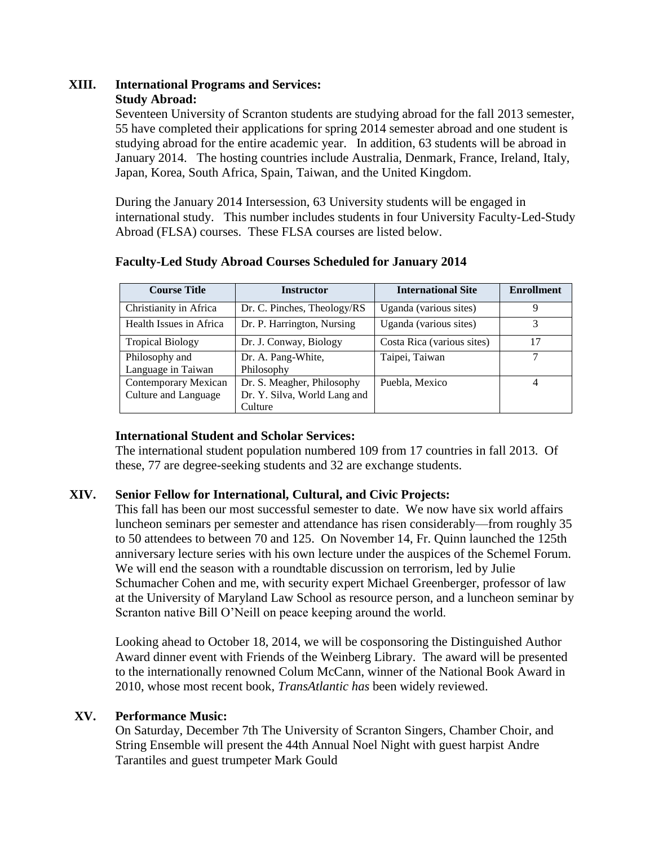#### **XIII. International Programs and Services: Study Abroad:**

Seventeen University of Scranton students are studying abroad for the fall 2013 semester, 55 have completed their applications for spring 2014 semester abroad and one student is studying abroad for the entire academic year. In addition, 63 students will be abroad in January 2014. The hosting countries include Australia, Denmark, France, Ireland, Italy, Japan, Korea, South Africa, Spain, Taiwan, and the United Kingdom.

During the January 2014 Intersession, 63 University students will be engaged in international study. This number includes students in four University Faculty-Led-Study Abroad (FLSA) courses. These FLSA courses are listed below.

| <b>Course Title</b>                  | <b>Instructor</b>                       | <b>International Site</b>  | <b>Enrollment</b> |
|--------------------------------------|-----------------------------------------|----------------------------|-------------------|
| Christianity in Africa               | Dr. C. Pinches, Theology/RS             | Uganda (various sites)     | 9                 |
| Health Issues in Africa              | Dr. P. Harrington, Nursing              | Uganda (various sites)     | 3                 |
| <b>Tropical Biology</b>              | Dr. J. Conway, Biology                  | Costa Rica (various sites) | 17                |
| Philosophy and<br>Language in Taiwan | Dr. A. Pang-White,<br>Philosophy        | Taipei, Taiwan             |                   |
| Contemporary Mexican                 | Dr. S. Meagher, Philosophy              | Puebla, Mexico             |                   |
| Culture and Language                 | Dr. Y. Silva, World Lang and<br>Culture |                            |                   |

# **Faculty-Led Study Abroad Courses Scheduled for January 2014**

# **International Student and Scholar Services:**

The international student population numbered 109 from 17 countries in fall 2013. Of these, 77 are degree-seeking students and 32 are exchange students.

# **XIV. Senior Fellow for International, Cultural, and Civic Projects:**

This fall has been our most successful semester to date. We now have six world affairs luncheon seminars per semester and attendance has risen considerably—from roughly 35 to 50 attendees to between 70 and 125. On November 14, Fr. Quinn launched the 125th anniversary lecture series with his own lecture under the auspices of the Schemel Forum. We will end the season with a roundtable discussion on terrorism, led by Julie Schumacher Cohen and me, with security expert Michael Greenberger, professor of law at the University of Maryland Law School as resource person, and a luncheon seminar by Scranton native Bill O'Neill on peace keeping around the world.

Looking ahead to October 18, 2014, we will be cosponsoring the Distinguished Author Award dinner event with Friends of the Weinberg Library. The award will be presented to the internationally renowned Colum McCann, winner of the National Book Award in 2010, whose most recent book, *TransAtlantic has* been widely reviewed.

# **XV. Performance Music:**

On Saturday, December 7th The University of Scranton Singers, Chamber Choir, and String Ensemble will present the 44th Annual Noel Night with guest harpist Andre Tarantiles and guest trumpeter Mark Gould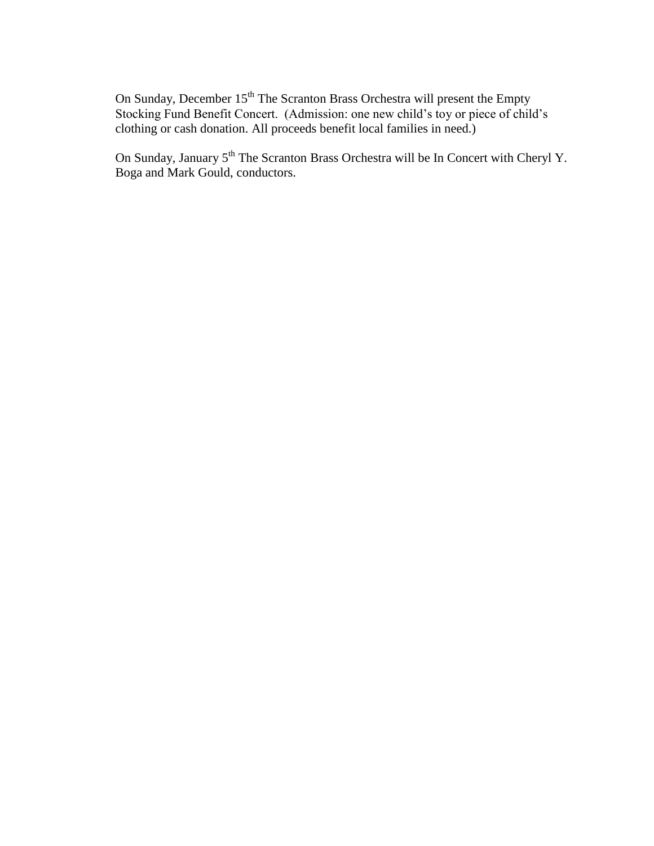On Sunday, December 15<sup>th</sup> The Scranton Brass Orchestra will present the Empty Stocking Fund Benefit Concert. (Admission: one new child's toy or piece of child's clothing or cash donation. All proceeds benefit local families in need.)

On Sunday, January 5<sup>th</sup> The Scranton Brass Orchestra will be In Concert with Cheryl Y. Boga and Mark Gould, conductors.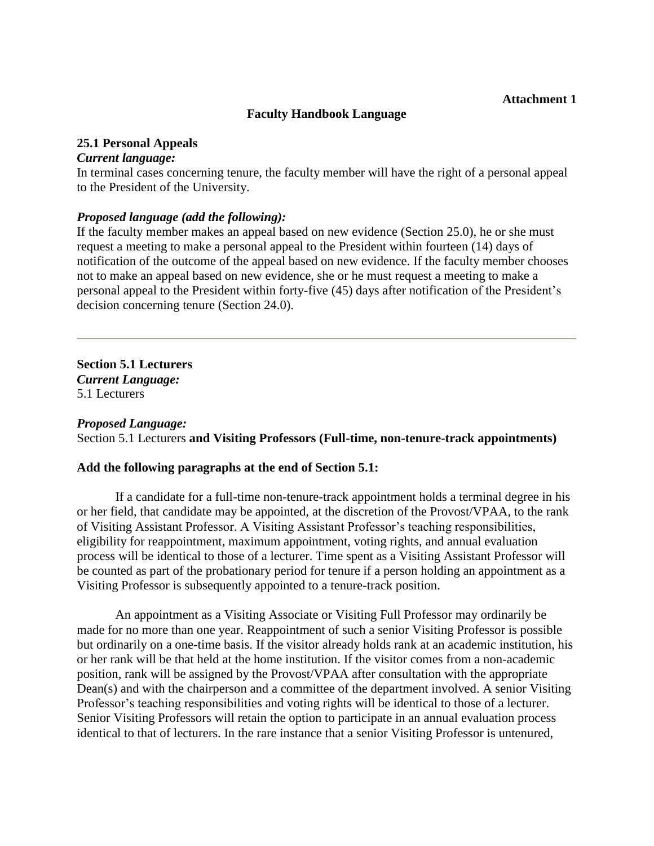#### **Attachment 1**

#### **Faculty Handbook Language**

#### **25.1 Personal Appeals**

#### *Current language:*

In terminal cases concerning tenure, the faculty member will have the right of a personal appeal to the President of the University.

#### *Proposed language (add the following):*

If the faculty member makes an appeal based on new evidence (Section 25.0), he or she must request a meeting to make a personal appeal to the President within fourteen (14) days of notification of the outcome of the appeal based on new evidence. If the faculty member chooses not to make an appeal based on new evidence, she or he must request a meeting to make a personal appeal to the President within forty-five (45) days after notification of the President's decision concerning tenure (Section 24.0).

**Section 5.1 Lecturers** *Current Language:* 5.1 Lecturers

#### *Proposed Language:*

Section 5.1 Lecturers **and Visiting Professors (Full-time, non-tenure-track appointments)**

#### **Add the following paragraphs at the end of Section 5.1:**

If a candidate for a full-time non-tenure-track appointment holds a terminal degree in his or her field, that candidate may be appointed, at the discretion of the Provost/VPAA, to the rank of Visiting Assistant Professor. A Visiting Assistant Professor's teaching responsibilities, eligibility for reappointment, maximum appointment, voting rights, and annual evaluation process will be identical to those of a lecturer. Time spent as a Visiting Assistant Professor will be counted as part of the probationary period for tenure if a person holding an appointment as a Visiting Professor is subsequently appointed to a tenure-track position.

An appointment as a Visiting Associate or Visiting Full Professor may ordinarily be made for no more than one year. Reappointment of such a senior Visiting Professor is possible but ordinarily on a one-time basis. If the visitor already holds rank at an academic institution, his or her rank will be that held at the home institution. If the visitor comes from a non-academic position, rank will be assigned by the Provost/VPAA after consultation with the appropriate Dean(s) and with the chairperson and a committee of the department involved. A senior Visiting Professor's teaching responsibilities and voting rights will be identical to those of a lecturer. Senior Visiting Professors will retain the option to participate in an annual evaluation process identical to that of lecturers. In the rare instance that a senior Visiting Professor is untenured,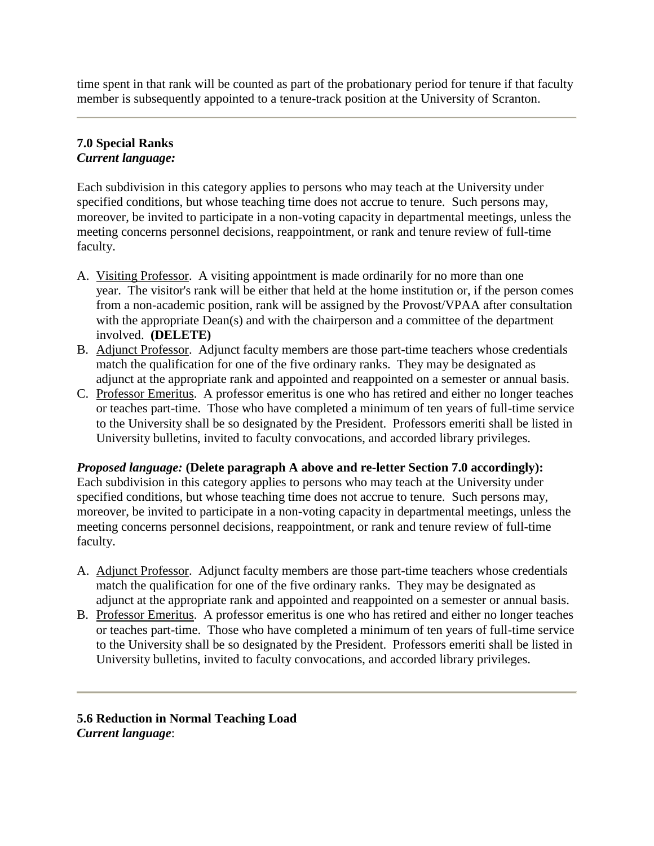time spent in that rank will be counted as part of the probationary period for tenure if that faculty member is subsequently appointed to a tenure-track position at the University of Scranton.

# **7.0 Special Ranks**  *Current language:*

Each subdivision in this category applies to persons who may teach at the University under specified conditions, but whose teaching time does not accrue to tenure. Such persons may, moreover, be invited to participate in a non-voting capacity in departmental meetings, unless the meeting concerns personnel decisions, reappointment, or rank and tenure review of full-time faculty.

- A. Visiting Professor. A visiting appointment is made ordinarily for no more than one year. The visitor's rank will be either that held at the home institution or, if the person comes from a non-academic position, rank will be assigned by the Provost/VPAA after consultation with the appropriate Dean(s) and with the chairperson and a committee of the department involved. **(DELETE)**
- B. Adjunct Professor. Adjunct faculty members are those part-time teachers whose credentials match the qualification for one of the five ordinary ranks. They may be designated as adjunct at the appropriate rank and appointed and reappointed on a semester or annual basis.
- C. Professor Emeritus. A professor emeritus is one who has retired and either no longer teaches or teaches part-time. Those who have completed a minimum of ten years of full-time service to the University shall be so designated by the President. Professors emeriti shall be listed in University bulletins, invited to faculty convocations, and accorded library privileges.

# *Proposed language:* **(Delete paragraph A above and re-letter Section 7.0 accordingly):**

Each subdivision in this category applies to persons who may teach at the University under specified conditions, but whose teaching time does not accrue to tenure. Such persons may, moreover, be invited to participate in a non-voting capacity in departmental meetings, unless the meeting concerns personnel decisions, reappointment, or rank and tenure review of full-time faculty.

- A. Adjunct Professor. Adjunct faculty members are those part-time teachers whose credentials match the qualification for one of the five ordinary ranks. They may be designated as adjunct at the appropriate rank and appointed and reappointed on a semester or annual basis.
- B. Professor Emeritus. A professor emeritus is one who has retired and either no longer teaches or teaches part-time. Those who have completed a minimum of ten years of full-time service to the University shall be so designated by the President. Professors emeriti shall be listed in University bulletins, invited to faculty convocations, and accorded library privileges.

**5.6 Reduction in Normal Teaching Load** *Current language*: